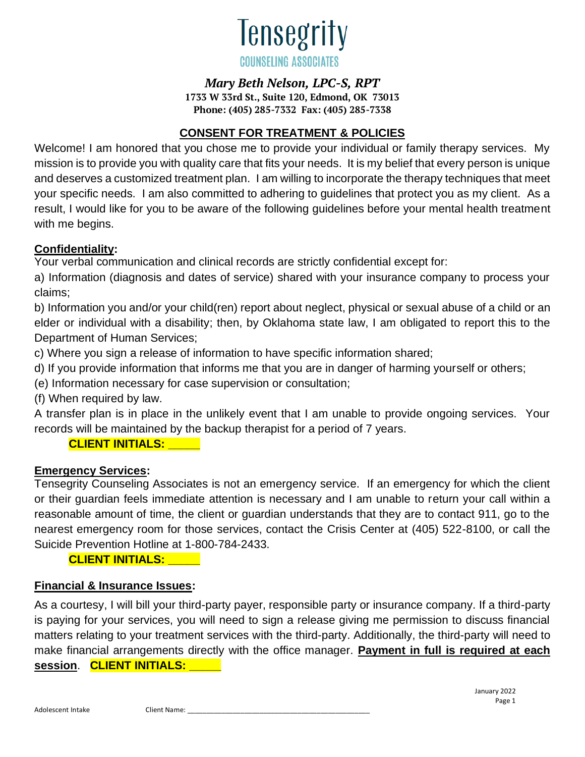

#### *Mary Beth Nelson, LPC-S, RPT*

**1733 W 33rd St., Suite 120, Edmond, OK 73013 Phone: (405) 285-7332 Fax: (405) 285-7338**

### **CONSENT FOR TREATMENT & POLICIES**

Welcome! I am honored that you chose me to provide your individual or family therapy services. My mission is to provide you with quality care that fits your needs. It is my belief that every person is unique and deserves a customized treatment plan. I am willing to incorporate the therapy techniques that meet your specific needs. I am also committed to adhering to guidelines that protect you as my client. As a result, I would like for you to be aware of the following guidelines before your mental health treatment with me begins.

### **Confidentiality:**

Your verbal communication and clinical records are strictly confidential except for:

a) Information (diagnosis and dates of service) shared with your insurance company to process your claims;

b) Information you and/or your child(ren) report about neglect, physical or sexual abuse of a child or an elder or individual with a disability; then, by Oklahoma state law, I am obligated to report this to the Department of Human Services;

c) Where you sign a release of information to have specific information shared;

d) If you provide information that informs me that you are in danger of harming yourself or others;

(e) Information necessary for case supervision or consultation;

(f) When required by law.

A transfer plan is in place in the unlikely event that I am unable to provide ongoing services. Your records will be maintained by the backup therapist for a period of 7 years.

### **CLIENT INITIALS: \_\_\_\_\_**

### **Emergency Services:**

Tensegrity Counseling Associates is not an emergency service. If an emergency for which the client or their guardian feels immediate attention is necessary and I am unable to return your call within a reasonable amount of time, the client or guardian understands that they are to contact 911, go to the nearest emergency room for those services, contact the Crisis Center at (405) 522-8100, or call the Suicide Prevention Hotline at 1-800-784-2433.

**CLIENT INITIALS: \_\_\_\_\_**

### **Financial & Insurance Issues:**

As a courtesy, I will bill your third-party payer, responsible party or insurance company. If a third-party is paying for your services, you will need to sign a release giving me permission to discuss financial matters relating to your treatment services with the third-party. Additionally, the third-party will need to make financial arrangements directly with the office manager. **Payment in full is required at each session**. **CLIENT INITIALS: \_\_\_\_\_**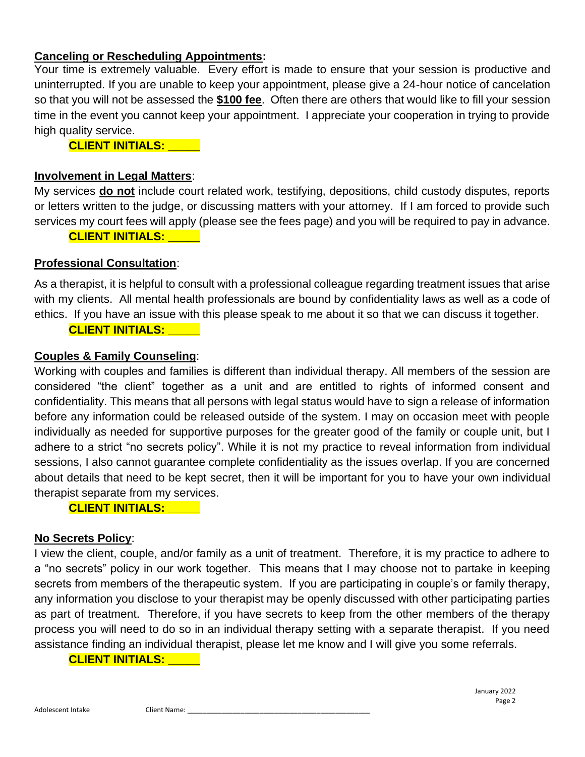#### **Canceling or Rescheduling Appointments:**

Your time is extremely valuable. Every effort is made to ensure that your session is productive and uninterrupted. If you are unable to keep your appointment, please give a 24-hour notice of cancelation so that you will not be assessed the **\$100 fee**. Often there are others that would like to fill your session time in the event you cannot keep your appointment. I appreciate your cooperation in trying to provide high quality service.

**CLIENT INITIALS: \_\_\_\_\_**

#### **Involvement in Legal Matters**:

My services **do not** include court related work, testifying, depositions, child custody disputes, reports or letters written to the judge, or discussing matters with your attorney. If I am forced to provide such services my court fees will apply (please see the fees page) and you will be required to pay in advance.

#### **CLIENT INITIALS: \_\_\_\_\_**

#### **Professional Consultation**:

As a therapist, it is helpful to consult with a professional colleague regarding treatment issues that arise with my clients. All mental health professionals are bound by confidentiality laws as well as a code of ethics. If you have an issue with this please speak to me about it so that we can discuss it together.

#### **CLIENT INITIALS: \_\_\_\_\_**

#### **Couples & Family Counseling**:

Working with couples and families is different than individual therapy. All members of the session are considered "the client" together as a unit and are entitled to rights of informed consent and confidentiality. This means that all persons with legal status would have to sign a release of information before any information could be released outside of the system. I may on occasion meet with people individually as needed for supportive purposes for the greater good of the family or couple unit, but I adhere to a strict "no secrets policy". While it is not my practice to reveal information from individual sessions, I also cannot guarantee complete confidentiality as the issues overlap. If you are concerned about details that need to be kept secret, then it will be important for you to have your own individual therapist separate from my services.

**CLIENT INITIALS: \_\_\_\_\_**

#### **No Secrets Policy**:

I view the client, couple, and/or family as a unit of treatment. Therefore, it is my practice to adhere to a "no secrets" policy in our work together. This means that I may choose not to partake in keeping secrets from members of the therapeutic system. If you are participating in couple's or family therapy, any information you disclose to your therapist may be openly discussed with other participating parties as part of treatment. Therefore, if you have secrets to keep from the other members of the therapy process you will need to do so in an individual therapy setting with a separate therapist. If you need assistance finding an individual therapist, please let me know and I will give you some referrals.

#### **CLIENT INITIALS: \_\_\_\_\_**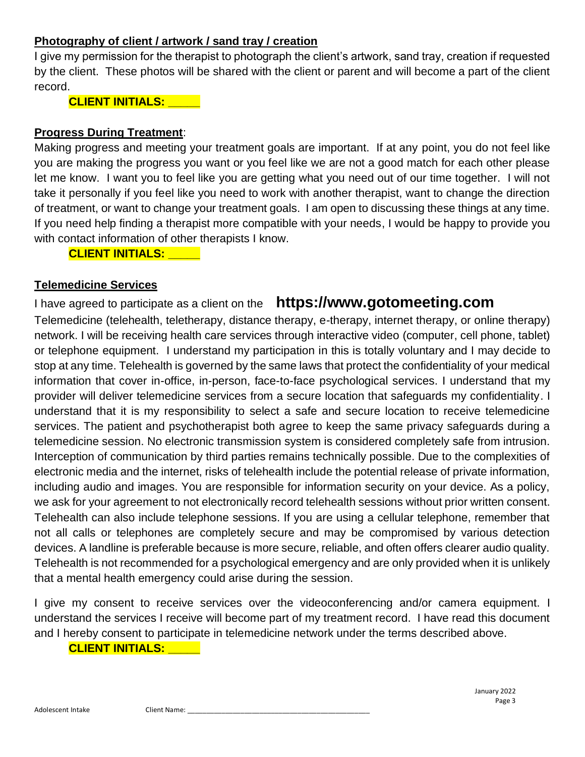### **Photography of client / artwork / sand tray / creation**

I give my permission for the therapist to photograph the client's artwork, sand tray, creation if requested by the client. These photos will be shared with the client or parent and will become a part of the client record.

**CLIENT INITIALS: \_\_\_\_\_**

### **Progress During Treatment**:

Making progress and meeting your treatment goals are important. If at any point, you do not feel like you are making the progress you want or you feel like we are not a good match for each other please let me know. I want you to feel like you are getting what you need out of our time together. I will not take it personally if you feel like you need to work with another therapist, want to change the direction of treatment, or want to change your treatment goals. I am open to discussing these things at any time. If you need help finding a therapist more compatible with your needs, I would be happy to provide you with contact information of other therapists I know.

**CLIENT INITIALS: \_\_\_\_\_**

#### **Telemedicine Services**

# I have agreed to participate as a client on the **https://www.gotomeeting.com**

Telemedicine (telehealth, teletherapy, distance therapy, e-therapy, internet therapy, or online therapy) network. I will be receiving health care services through interactive video (computer, cell phone, tablet) or telephone equipment. I understand my participation in this is totally voluntary and I may decide to stop at any time. Telehealth is governed by the same laws that protect the confidentiality of your medical information that cover in-office, in-person, face-to-face psychological services. I understand that my provider will deliver telemedicine services from a secure location that safeguards my confidentiality. I understand that it is my responsibility to select a safe and secure location to receive telemedicine services. The patient and psychotherapist both agree to keep the same privacy safeguards during a telemedicine session. No electronic transmission system is considered completely safe from intrusion. Interception of communication by third parties remains technically possible. Due to the complexities of electronic media and the internet, risks of telehealth include the potential release of private information, including audio and images. You are responsible for information security on your device. As a policy, we ask for your agreement to not electronically record telehealth sessions without prior written consent. Telehealth can also include telephone sessions. If you are using a cellular telephone, remember that not all calls or telephones are completely secure and may be compromised by various detection devices. A landline is preferable because is more secure, reliable, and often offers clearer audio quality. Telehealth is not recommended for a psychological emergency and are only provided when it is unlikely that a mental health emergency could arise during the session.

I give my consent to receive services over the videoconferencing and/or camera equipment. I understand the services I receive will become part of my treatment record. I have read this document and I hereby consent to participate in telemedicine network under the terms described above.

#### **CLIENT INITIALS: \_\_\_\_\_**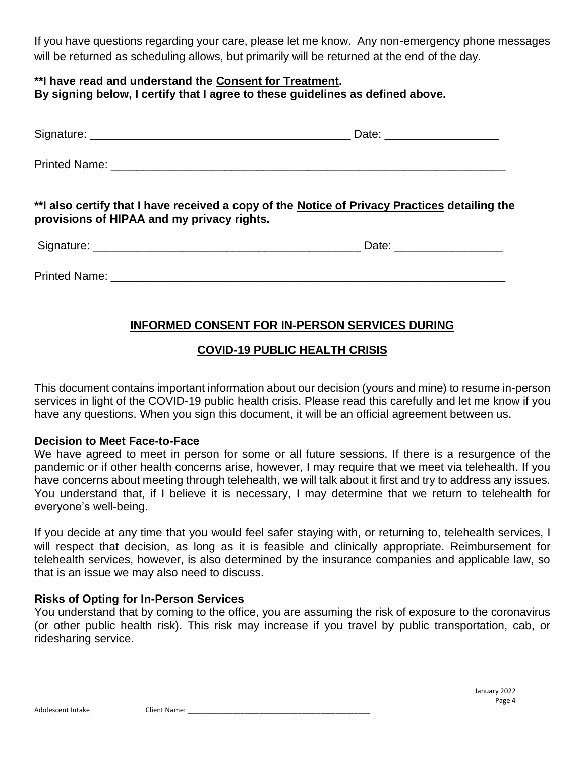If you have questions regarding your care, please let me know. Any non-emergency phone messages will be returned as scheduling allows, but primarily will be returned at the end of the day.

#### **\*\*I have read and understand the Consent for Treatment. By signing below, I certify that I agree to these guidelines as defined above.**

| Signature:    | Date: |
|---------------|-------|
| Printed Name: |       |

**\*\*I also certify that I have received a copy of the Notice of Privacy Practices detailing the provisions of HIPAA and my privacy rights.**

| $\sim$<br>וחור.<br>. | ___ |
|----------------------|-----|
|                      |     |

Printed Name:  $\blacksquare$ 

## **INFORMED CONSENT FOR IN-PERSON SERVICES DURING**

## **COVID-19 PUBLIC HEALTH CRISIS**

This document contains important information about our decision (yours and mine) to resume in-person services in light of the COVID-19 public health crisis. Please read this carefully and let me know if you have any questions. When you sign this document, it will be an official agreement between us.

### **Decision to Meet Face-to-Face**

We have agreed to meet in person for some or all future sessions. If there is a resurgence of the pandemic or if other health concerns arise, however, I may require that we meet via telehealth. If you have concerns about meeting through telehealth, we will talk about it first and try to address any issues. You understand that, if I believe it is necessary, I may determine that we return to telehealth for everyone's well-being.

If you decide at any time that you would feel safer staying with, or returning to, telehealth services, I will respect that decision, as long as it is feasible and clinically appropriate. Reimbursement for telehealth services, however, is also determined by the insurance companies and applicable law, so that is an issue we may also need to discuss.

### **Risks of Opting for In-Person Services**

You understand that by coming to the office, you are assuming the risk of exposure to the coronavirus (or other public health risk). This risk may increase if you travel by public transportation, cab, or ridesharing service.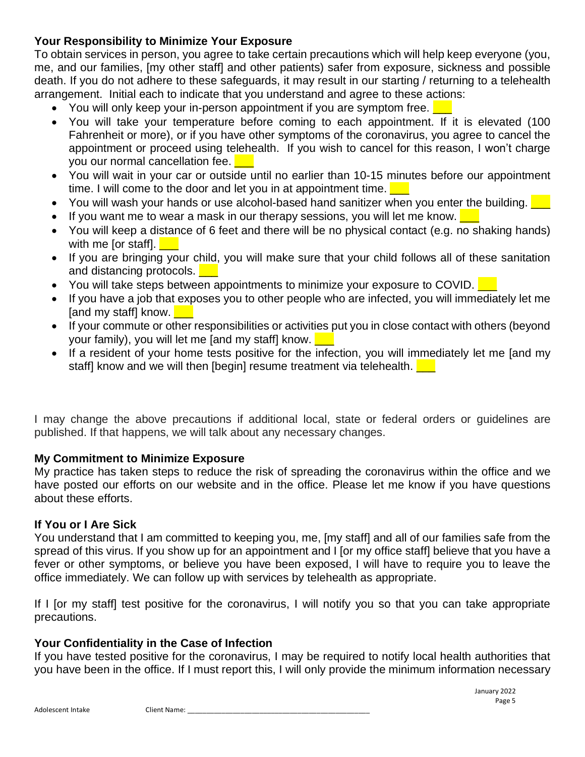### **Your Responsibility to Minimize Your Exposure**

To obtain services in person, you agree to take certain precautions which will help keep everyone (you, me, and our families, [my other staff] and other patients) safer from exposure, sickness and possible death. If you do not adhere to these safeguards, it may result in our starting / returning to a telehealth arrangement. Initial each to indicate that you understand and agree to these actions:

- You will only keep your in-person appointment if you are symptom free.  $\Box$
- You will take your temperature before coming to each appointment. If it is elevated (100 Fahrenheit or more), or if you have other symptoms of the coronavirus, you agree to cancel the appointment or proceed using telehealth. If you wish to cancel for this reason, I won't charge you our normal cancellation fee. **Legen**
- You will wait in your car or outside until no earlier than 10-15 minutes before our appointment time. I will come to the door and let you in at appointment time.  $\Box$
- You will wash your hands or use alcohol-based hand sanitizer when you enter the building.
- If you want me to wear a mask in our therapy sessions, you will let me know.  $\Box$
- You will keep a distance of 6 feet and there will be no physical contact (e.g. no shaking hands) with me [or staff].  $\blacksquare$
- If you are bringing your child, you will make sure that your child follows all of these sanitation and distancing protocols.
- You will take steps between appointments to minimize your exposure to COVID.
- If you have a job that exposes you to other people who are infected, you will immediately let me  $[$ and my staff $]$  know.
- If your commute or other responsibilities or activities put you in close contact with others (beyond your family), you will let me [and my staff] know.  $\Box$
- If a resident of your home tests positive for the infection, you will immediately let me [and my staff] know and we will then [begin] resume treatment via telehealth.  $\Box$

I may change the above precautions if additional local, state or federal orders or guidelines are published. If that happens, we will talk about any necessary changes.

### **My Commitment to Minimize Exposure**

My practice has taken steps to reduce the risk of spreading the coronavirus within the office and we have posted our efforts on our website and in the office. Please let me know if you have questions about these efforts.

#### **If You or I Are Sick**

You understand that I am committed to keeping you, me, [my staff] and all of our families safe from the spread of this virus. If you show up for an appointment and I [or my office staff] believe that you have a fever or other symptoms, or believe you have been exposed, I will have to require you to leave the office immediately. We can follow up with services by telehealth as appropriate.

If I [or my staff] test positive for the coronavirus, I will notify you so that you can take appropriate precautions.

### **Your Confidentiality in the Case of Infection**

If you have tested positive for the coronavirus, I may be required to notify local health authorities that you have been in the office. If I must report this, I will only provide the minimum information necessary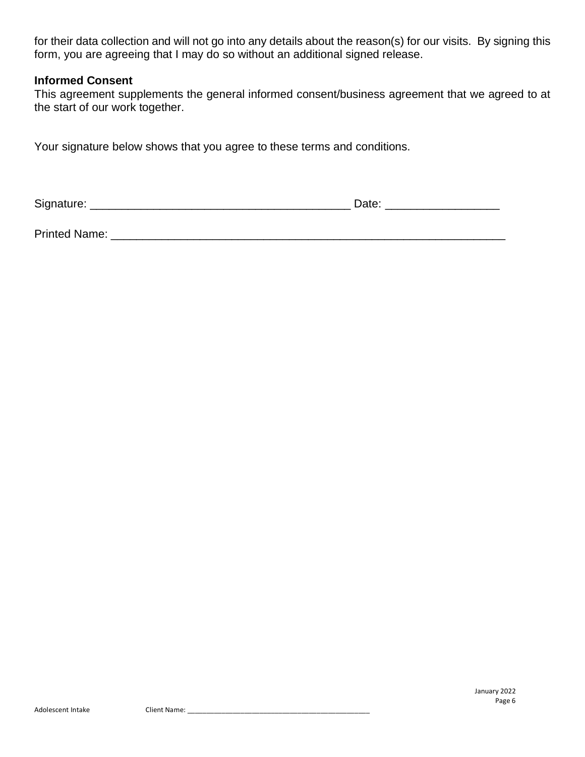for their data collection and will not go into any details about the reason(s) for our visits. By signing this form, you are agreeing that I may do so without an additional signed release.

#### **Informed Consent**

This agreement supplements the general informed consent/business agreement that we agreed to at the start of our work together.

Your signature below shows that you agree to these terms and conditions.

Signature: \_\_\_\_\_\_\_\_\_\_\_\_\_\_\_\_\_\_\_\_\_\_\_\_\_\_\_\_\_\_\_\_\_\_\_\_\_\_\_\_\_ Date: \_\_\_\_\_\_\_\_\_\_\_\_\_\_\_\_\_\_

Printed Name: \_\_\_\_\_\_\_\_\_\_\_\_\_\_\_\_\_\_\_\_\_\_\_\_\_\_\_\_\_\_\_\_\_\_\_\_\_\_\_\_\_\_\_\_\_\_\_\_\_\_\_\_\_\_\_\_\_\_\_\_\_\_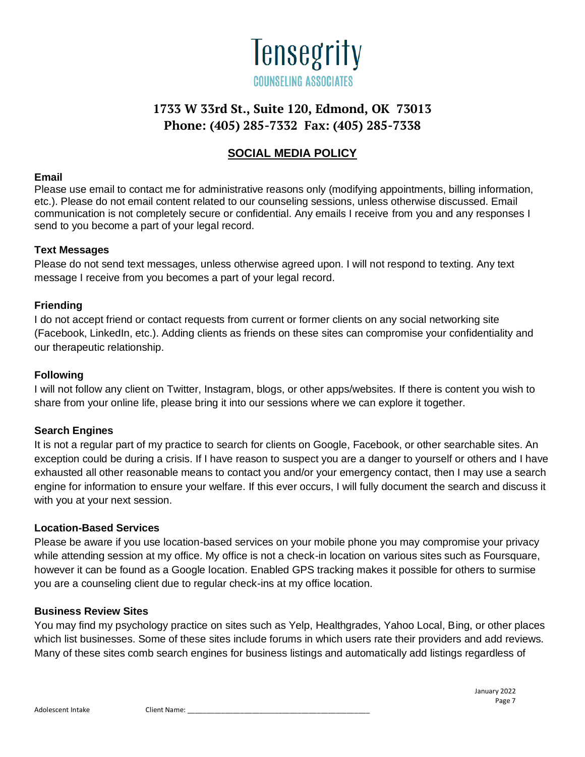

### **SOCIAL MEDIA POLICY**

#### **Email**

Please use email to contact me for administrative reasons only (modifying appointments, billing information, etc.). Please do not email content related to our counseling sessions, unless otherwise discussed. Email communication is not completely secure or confidential. Any emails I receive from you and any responses I send to you become a part of your legal record.

#### **Text Messages**

Please do not send text messages, unless otherwise agreed upon. I will not respond to texting. Any text message I receive from you becomes a part of your legal record.

#### **Friending**

I do not accept friend or contact requests from current or former clients on any social networking site (Facebook, LinkedIn, etc.). Adding clients as friends on these sites can compromise your confidentiality and our therapeutic relationship.

#### **Following**

I will not follow any client on Twitter, Instagram, blogs, or other apps/websites. If there is content you wish to share from your online life, please bring it into our sessions where we can explore it together.

#### **Search Engines**

It is not a regular part of my practice to search for clients on Google, Facebook, or other searchable sites. An exception could be during a crisis. If I have reason to suspect you are a danger to yourself or others and I have exhausted all other reasonable means to contact you and/or your emergency contact, then I may use a search engine for information to ensure your welfare. If this ever occurs, I will fully document the search and discuss it with you at your next session.

#### **Location-Based Services**

Please be aware if you use location-based services on your mobile phone you may compromise your privacy while attending session at my office. My office is not a check-in location on various sites such as Foursquare, however it can be found as a Google location. Enabled GPS tracking makes it possible for others to surmise you are a counseling client due to regular check-ins at my office location.

#### **Business Review Sites**

You may find my psychology practice on sites such as Yelp, Healthgrades, Yahoo Local, Bing, or other places which list businesses. Some of these sites include forums in which users rate their providers and add reviews. Many of these sites comb search engines for business listings and automatically add listings regardless of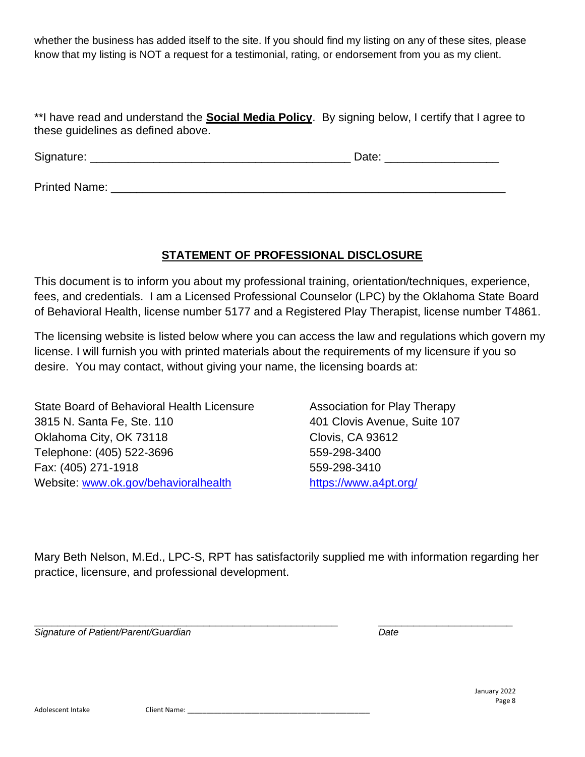whether the business has added itself to the site. If you should find my listing on any of these sites, please know that my listing is NOT a request for a testimonial, rating, or endorsement from you as my client.

\*\*I have read and understand the **Social Media Policy**. By signing below, I certify that I agree to these guidelines as defined above.

Signature: \_\_\_\_\_\_\_\_\_\_\_\_\_\_\_\_\_\_\_\_\_\_\_\_\_\_\_\_\_\_\_\_\_\_\_\_\_\_\_\_\_ Date: \_\_\_\_\_\_\_\_\_\_\_\_\_\_\_\_\_\_

Printed Name: \_\_\_\_\_\_\_\_\_\_\_\_\_\_\_\_\_\_\_\_\_\_\_\_\_\_\_\_\_\_\_\_\_\_\_\_\_\_\_\_\_\_\_\_\_\_\_\_\_\_\_\_\_\_\_\_\_\_\_\_\_\_

### **STATEMENT OF PROFESSIONAL DISCLOSURE**

This document is to inform you about my professional training, orientation/techniques, experience, fees, and credentials. I am a Licensed Professional Counselor (LPC) by the Oklahoma State Board of Behavioral Health, license number 5177 and a Registered Play Therapist, license number T4861.

The licensing website is listed below where you can access the law and regulations which govern my license. I will furnish you with printed materials about the requirements of my licensure if you so desire. You may contact, without giving your name, the licensing boards at:

State Board of Behavioral Health Licensure **Association for Play Therapy** 3815 N. Santa Fe, Ste. 110 401 Clovis Avenue, Suite 107 Oklahoma City, OK 73118 Clovis, CA 93612 Telephone: (405) 522-3696 559-298-3400 Fax: (405) 271-1918 559-298-3410 Website: [www.ok.gov/behavioralhealth](http://www.health.ok.gov/program/lpc/) <https://www.a4pt.org/>

Mary Beth Nelson, M.Ed., LPC-S, RPT has satisfactorily supplied me with information regarding her practice, licensure, and professional development.

*Signature of Patient/Parent/Guardian Date*

\_\_\_\_\_\_\_\_\_\_\_\_\_\_\_\_\_\_\_\_\_\_\_\_\_\_\_\_\_\_\_\_\_\_\_\_\_\_\_\_\_\_\_\_\_\_\_\_\_\_\_\_ \_\_\_\_\_\_\_\_\_\_\_\_\_\_\_\_\_\_\_\_\_\_\_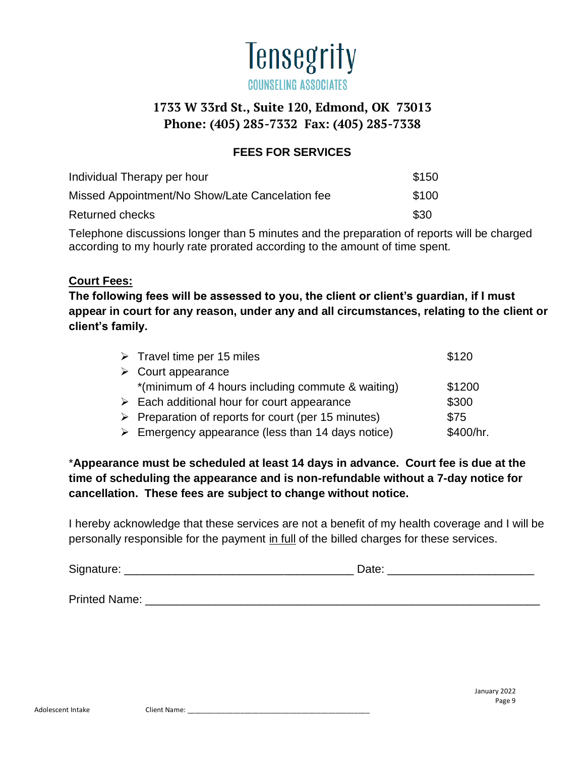

### **FEES FOR SERVICES**

| Individual Therapy per hour                     | \$150 |
|-------------------------------------------------|-------|
| Missed Appointment/No Show/Late Cancelation fee | \$100 |
| Returned checks                                 | \$30  |

Telephone discussions longer than 5 minutes and the preparation of reports will be charged according to my hourly rate prorated according to the amount of time spent.

#### **Court Fees:**

**The following fees will be assessed to you, the client or client's guardian, if I must appear in court for any reason, under any and all circumstances, relating to the client or client's family.**

| $\triangleright$ Travel time per 15 miles                          | \$120     |
|--------------------------------------------------------------------|-----------|
| $\triangleright$ Court appearance                                  |           |
| *(minimum of 4 hours including commute & waiting)                  | \$1200    |
| $\triangleright$ Each additional hour for court appearance         | \$300     |
| $\triangleright$ Preparation of reports for court (per 15 minutes) | \$75      |
| $\triangleright$ Emergency appearance (less than 14 days notice)   | \$400/hr. |

\***Appearance must be scheduled at least 14 days in advance. Court fee is due at the time of scheduling the appearance and is non-refundable without a 7-day notice for cancellation. These fees are subject to change without notice.**

I hereby acknowledge that these services are not a benefit of my health coverage and I will be personally responsible for the payment in full of the billed charges for these services.

| Signature: | Date |  |
|------------|------|--|
|            |      |  |
|            |      |  |

Printed Name: **Example 20**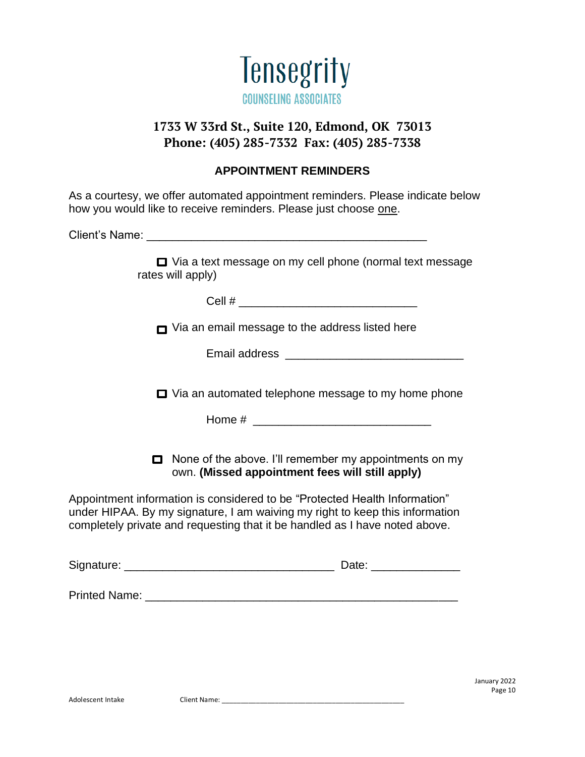

### **APPOINTMENT REMINDERS**

As a courtesy, we offer automated appointment reminders. Please indicate below how you would like to receive reminders. Please just choose one.

Client's Name: \_\_\_\_\_\_\_\_\_\_\_\_\_\_\_\_\_\_\_\_\_\_\_\_\_\_\_\_\_\_\_\_\_\_\_\_\_\_\_\_\_\_\_\_

□ Via a text message on my cell phone (normal text message rates will apply)

 $Cell \#$ 

 $\Box$  Via an email message to the address listed here

| Email address |  |
|---------------|--|
|---------------|--|

 $\Box$  Via an automated telephone message to my home phone

Home  $\#$ 

■ None of the above. I'll remember my appointments on my own. **(Missed appointment fees will still apply)**

Appointment information is considered to be "Protected Health Information" under HIPAA. By my signature, I am waiving my right to keep this information completely private and requesting that it be handled as I have noted above.

| Signature:    | Date: |
|---------------|-------|
|               |       |
| Printed Name: |       |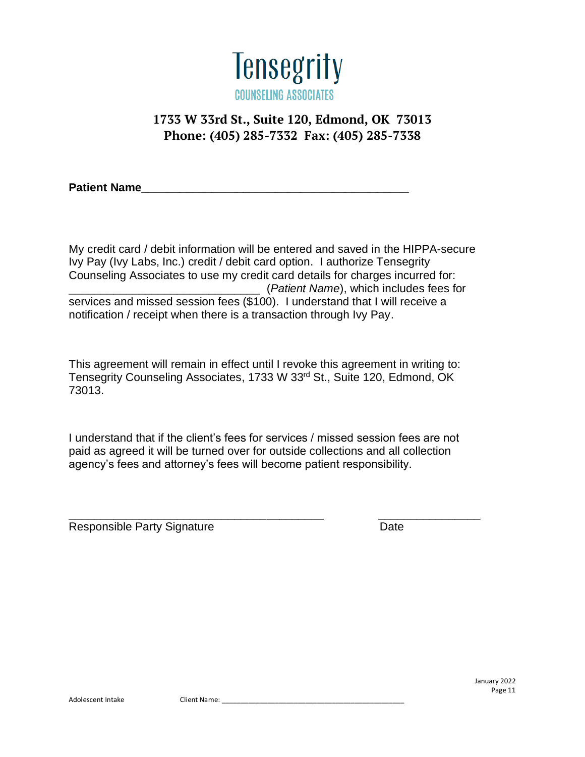

Patient Name

My credit card / debit information will be entered and saved in the HIPPA-secure Ivy Pay (Ivy Labs, Inc.) credit / debit card option. I authorize Tensegrity Counseling Associates to use my credit card details for charges incurred for: \_\_\_\_\_\_\_\_\_\_\_\_\_\_\_\_\_\_\_\_\_\_\_\_\_\_\_\_\_\_ (*Patient Name*), which includes fees for services and missed session fees (\$100). I understand that I will receive a notification / receipt when there is a transaction through Ivy Pay.

This agreement will remain in effect until I revoke this agreement in writing to: Tensegrity Counseling Associates, 1733 W 33rd St., Suite 120, Edmond, OK 73013.

I understand that if the client's fees for services / missed session fees are not paid as agreed it will be turned over for outside collections and all collection agency's fees and attorney's fees will become patient responsibility.

Responsible Party Signature **Date** Date

\_\_\_\_\_\_\_\_\_\_\_\_\_\_\_\_\_\_\_\_\_\_\_\_\_\_\_\_\_\_\_\_\_\_\_\_\_\_\_\_ \_\_\_\_\_\_\_\_\_\_\_\_\_\_\_\_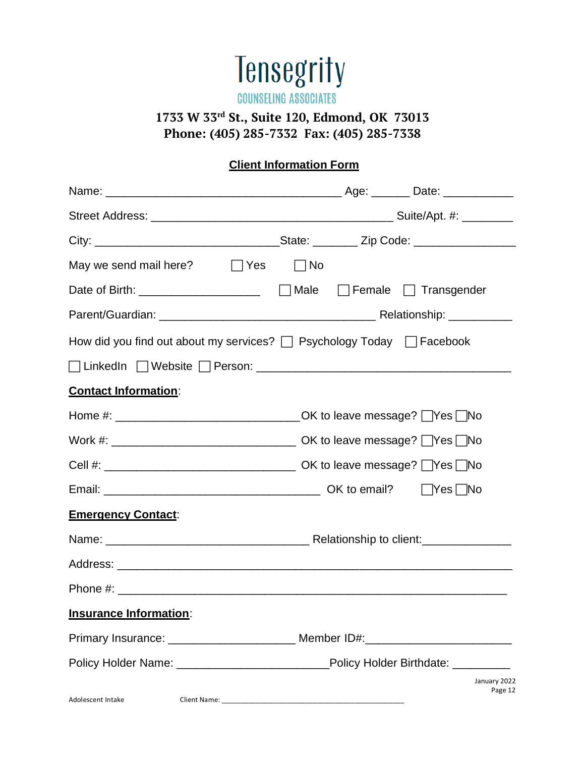

**COUNSELING ASSOCIATES** 

# **1733 W 33rd St., Suite 120, Edmond, OK 73013 Phone: (405) 285-7332 Fax: (405) 285-7338**

# **Client Information Form**

| May we send mail here? $\Box$ Yes                                                      | $\Box$ No |                         |
|----------------------------------------------------------------------------------------|-----------|-------------------------|
|                                                                                        |           |                         |
|                                                                                        |           |                         |
| How did you find out about my services? $\Box$ Psychology Today $\Box$ Facebook        |           |                         |
|                                                                                        |           |                         |
| <b>Contact Information:</b>                                                            |           |                         |
|                                                                                        |           |                         |
|                                                                                        |           |                         |
|                                                                                        |           |                         |
|                                                                                        |           |                         |
| <b>Emergency Contact:</b>                                                              |           |                         |
|                                                                                        |           |                         |
|                                                                                        |           |                         |
|                                                                                        |           |                         |
| <b>Insurance Information:</b>                                                          |           |                         |
|                                                                                        |           |                         |
| Policy Holder Name: ________________________________Policy Holder Birthdate: _________ |           |                         |
| Adolescent Intake                                                                      |           | January 2022<br>Page 12 |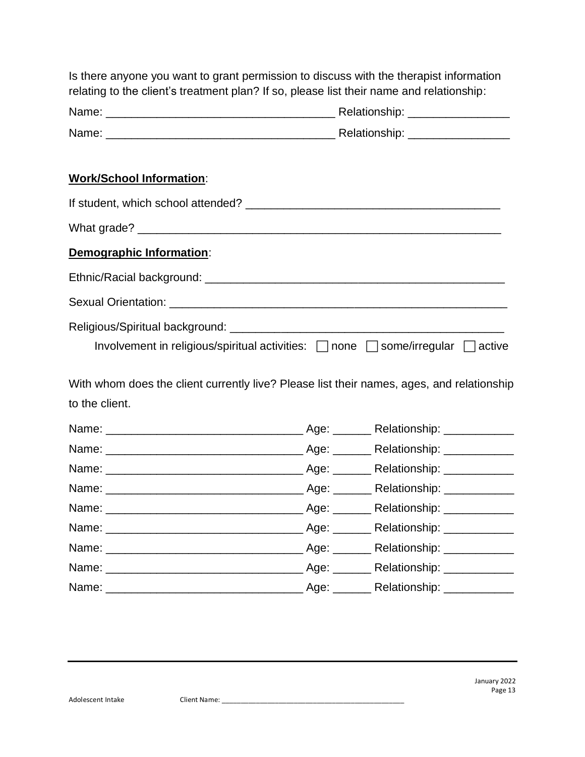| relating to the client's treatment plan? If so, please list their name and relationship: |  | Is there anyone you want to grant permission to discuss with the therapist information    |  |  |  |  |  |  |
|------------------------------------------------------------------------------------------|--|-------------------------------------------------------------------------------------------|--|--|--|--|--|--|
|                                                                                          |  |                                                                                           |  |  |  |  |  |  |
|                                                                                          |  |                                                                                           |  |  |  |  |  |  |
| <b>Work/School Information:</b>                                                          |  |                                                                                           |  |  |  |  |  |  |
|                                                                                          |  |                                                                                           |  |  |  |  |  |  |
|                                                                                          |  |                                                                                           |  |  |  |  |  |  |
| Demographic Information:                                                                 |  |                                                                                           |  |  |  |  |  |  |
|                                                                                          |  |                                                                                           |  |  |  |  |  |  |
|                                                                                          |  |                                                                                           |  |  |  |  |  |  |
|                                                                                          |  | Involvement in religious/spiritual activities: □ none □ some/irregular □ active           |  |  |  |  |  |  |
| to the client.                                                                           |  | With whom does the client currently live? Please list their names, ages, and relationship |  |  |  |  |  |  |
|                                                                                          |  |                                                                                           |  |  |  |  |  |  |
|                                                                                          |  |                                                                                           |  |  |  |  |  |  |
|                                                                                          |  |                                                                                           |  |  |  |  |  |  |
|                                                                                          |  |                                                                                           |  |  |  |  |  |  |
|                                                                                          |  |                                                                                           |  |  |  |  |  |  |
|                                                                                          |  |                                                                                           |  |  |  |  |  |  |
|                                                                                          |  |                                                                                           |  |  |  |  |  |  |
|                                                                                          |  |                                                                                           |  |  |  |  |  |  |
|                                                                                          |  |                                                                                           |  |  |  |  |  |  |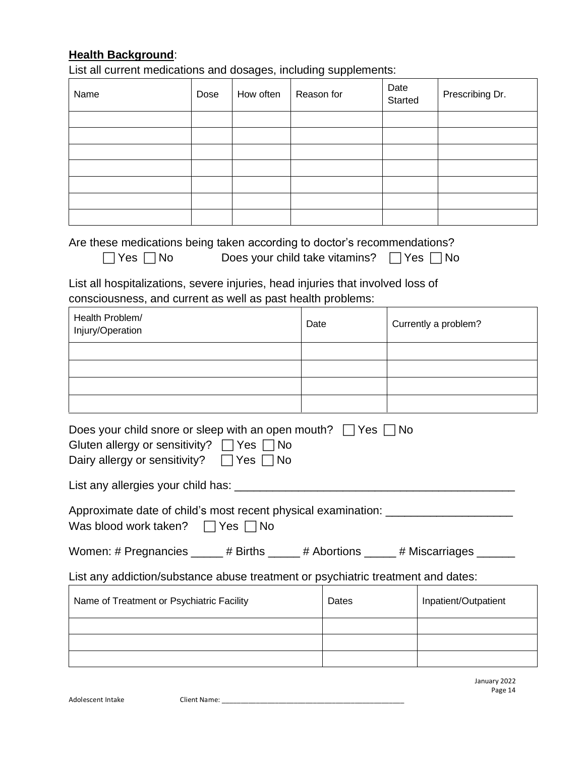# **Health Background**:

List all current medications and dosages, including supplements:

| Name                                                                                                                                                                                 | Dose | How often | Reason for |                                                     | Date<br>Started      | Prescribing Dr. |  |  |
|--------------------------------------------------------------------------------------------------------------------------------------------------------------------------------------|------|-----------|------------|-----------------------------------------------------|----------------------|-----------------|--|--|
|                                                                                                                                                                                      |      |           |            |                                                     |                      |                 |  |  |
|                                                                                                                                                                                      |      |           |            |                                                     |                      |                 |  |  |
|                                                                                                                                                                                      |      |           |            |                                                     |                      |                 |  |  |
|                                                                                                                                                                                      |      |           |            |                                                     |                      |                 |  |  |
|                                                                                                                                                                                      |      |           |            |                                                     |                      |                 |  |  |
|                                                                                                                                                                                      |      |           |            |                                                     |                      |                 |  |  |
| Are these medications being taken according to doctor's recommendations?<br>Yes $\Box$ No                                                                                            |      |           |            | Does your child take vitamins? $\Box$ Yes $\Box$ No |                      |                 |  |  |
| List all hospitalizations, severe injuries, head injuries that involved loss of<br>consciousness, and current as well as past health problems:                                       |      |           |            |                                                     |                      |                 |  |  |
| Health Problem/<br>Injury/Operation                                                                                                                                                  |      |           | Date       |                                                     | Currently a problem? |                 |  |  |
|                                                                                                                                                                                      |      |           |            |                                                     |                      |                 |  |  |
|                                                                                                                                                                                      |      |           |            |                                                     |                      |                 |  |  |
|                                                                                                                                                                                      |      |           |            |                                                     |                      |                 |  |  |
|                                                                                                                                                                                      |      |           |            |                                                     |                      |                 |  |  |
| Does your child snore or sleep with an open mouth? $\Box$ Yes $\Box$ No<br>Gluten allergy or sensitivity? $\Box$ Yes $\Box$ No<br>Dairy allergy or sensitivity? $\Box$ Yes $\Box$ No |      |           |            |                                                     |                      |                 |  |  |
| List any allergies your child has: ____                                                                                                                                              |      |           |            |                                                     |                      |                 |  |  |
| Approximate date of child's most recent physical examination: __________________<br>Was blood work taken?<br>$\Box$ Yes $\Box$ No                                                    |      |           |            |                                                     |                      |                 |  |  |
| Women: # Pregnancies _____ # Births _____ # Abortions _____ # Miscarriages ______                                                                                                    |      |           |            |                                                     |                      |                 |  |  |
| List any addiction/substance abuse treatment or psychiatric treatment and dates:                                                                                                     |      |           |            |                                                     |                      |                 |  |  |
| Name of Treatment or Psychiatric Facility                                                                                                                                            |      |           | Dates      |                                                     | Inpatient/Outpatient |                 |  |  |
|                                                                                                                                                                                      |      |           |            |                                                     |                      |                 |  |  |
|                                                                                                                                                                                      |      |           |            |                                                     |                      |                 |  |  |
|                                                                                                                                                                                      |      |           |            |                                                     |                      |                 |  |  |

January 2022 Page 14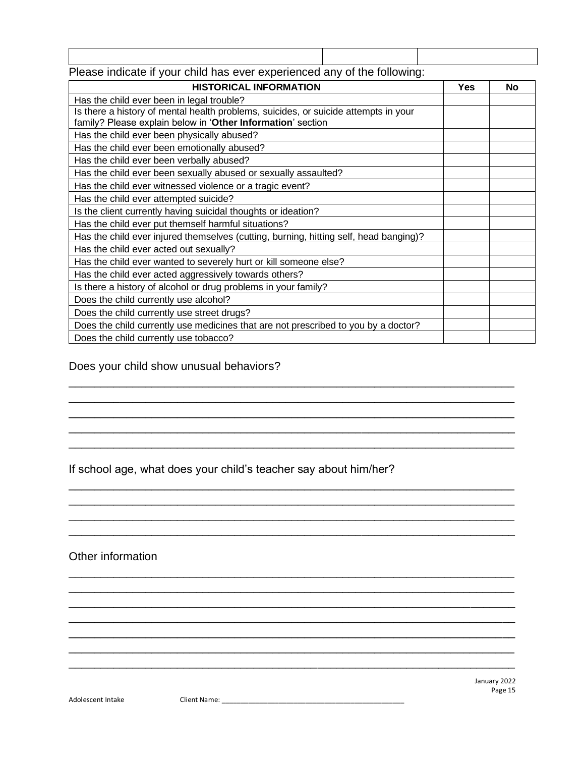| - - | $\sim$ $\sim$ |  | . |  |  |  | - - | . |  |  |  |
|-----|---------------|--|---|--|--|--|-----|---|--|--|--|
|     |               |  |   |  |  |  |     |   |  |  |  |
|     |               |  |   |  |  |  |     |   |  |  |  |
|     |               |  |   |  |  |  |     |   |  |  |  |
|     |               |  |   |  |  |  |     |   |  |  |  |

### Please indicate if your child has ever experienced any of the following:

| <b>HISTORICAL INFORMATION</b>                                                                                                                      | <b>Yes</b> | <b>No</b> |
|----------------------------------------------------------------------------------------------------------------------------------------------------|------------|-----------|
| Has the child ever been in legal trouble?                                                                                                          |            |           |
| Is there a history of mental health problems, suicides, or suicide attempts in your<br>family? Please explain below in 'Other Information' section |            |           |
| Has the child ever been physically abused?                                                                                                         |            |           |
| Has the child ever been emotionally abused?                                                                                                        |            |           |
| Has the child ever been verbally abused?                                                                                                           |            |           |
| Has the child ever been sexually abused or sexually assaulted?                                                                                     |            |           |
| Has the child ever witnessed violence or a tragic event?                                                                                           |            |           |
| Has the child ever attempted suicide?                                                                                                              |            |           |
| Is the client currently having suicidal thoughts or ideation?                                                                                      |            |           |
| Has the child ever put themself harmful situations?                                                                                                |            |           |
| Has the child ever injured themselves (cutting, burning, hitting self, head banging)?                                                              |            |           |
| Has the child ever acted out sexually?                                                                                                             |            |           |
| Has the child ever wanted to severely hurt or kill someone else?                                                                                   |            |           |
| Has the child ever acted aggressively towards others?                                                                                              |            |           |
| Is there a history of alcohol or drug problems in your family?                                                                                     |            |           |
| Does the child currently use alcohol?                                                                                                              |            |           |
| Does the child currently use street drugs?                                                                                                         |            |           |
| Does the child currently use medicines that are not prescribed to you by a doctor?                                                                 |            |           |
| Does the child currently use tobacco?                                                                                                              |            |           |

\_\_\_\_\_\_\_\_\_\_\_\_\_\_\_\_\_\_\_\_\_\_\_\_\_\_\_\_\_\_\_\_\_\_\_\_\_\_\_\_\_\_\_\_\_\_\_\_\_\_\_\_\_\_\_\_\_\_\_\_\_\_\_\_\_\_\_\_\_\_ \_\_\_\_\_\_\_\_\_\_\_\_\_\_\_\_\_\_\_\_\_\_\_\_\_\_\_\_\_\_\_\_\_\_\_\_\_\_\_\_\_\_\_\_\_\_\_\_\_\_\_\_\_\_\_\_\_\_\_\_\_\_\_\_\_\_\_\_\_\_ \_\_\_\_\_\_\_\_\_\_\_\_\_\_\_\_\_\_\_\_\_\_\_\_\_\_\_\_\_\_\_\_\_\_\_\_\_\_\_\_\_\_\_\_\_\_\_\_\_\_\_\_\_\_\_\_\_\_\_\_\_\_\_\_\_\_\_\_\_\_ \_\_\_\_\_\_\_\_\_\_\_\_\_\_\_\_\_\_\_\_\_\_\_\_\_\_\_\_\_\_\_\_\_\_\_\_\_\_\_\_\_\_\_\_\_\_\_\_\_\_\_\_\_\_\_\_\_\_\_\_\_\_\_\_\_\_\_\_\_\_ \_\_\_\_\_\_\_\_\_\_\_\_\_\_\_\_\_\_\_\_\_\_\_\_\_\_\_\_\_\_\_\_\_\_\_\_\_\_\_\_\_\_\_\_\_\_\_\_\_\_\_\_\_\_\_\_\_\_\_\_\_\_\_\_\_\_\_\_\_\_

\_\_\_\_\_\_\_\_\_\_\_\_\_\_\_\_\_\_\_\_\_\_\_\_\_\_\_\_\_\_\_\_\_\_\_\_\_\_\_\_\_\_\_\_\_\_\_\_\_\_\_\_\_\_\_\_\_\_\_\_\_\_\_\_\_\_\_\_\_\_ \_\_\_\_\_\_\_\_\_\_\_\_\_\_\_\_\_\_\_\_\_\_\_\_\_\_\_\_\_\_\_\_\_\_\_\_\_\_\_\_\_\_\_\_\_\_\_\_\_\_\_\_\_\_\_\_\_\_\_\_\_\_\_\_\_\_\_\_\_\_ \_\_\_\_\_\_\_\_\_\_\_\_\_\_\_\_\_\_\_\_\_\_\_\_\_\_\_\_\_\_\_\_\_\_\_\_\_\_\_\_\_\_\_\_\_\_\_\_\_\_\_\_\_\_\_\_\_\_\_\_\_\_\_\_\_\_\_\_\_\_ \_\_\_\_\_\_\_\_\_\_\_\_\_\_\_\_\_\_\_\_\_\_\_\_\_\_\_\_\_\_\_\_\_\_\_\_\_\_\_\_\_\_\_\_\_\_\_\_\_\_\_\_\_\_\_\_\_\_\_\_\_\_\_\_\_\_\_\_\_\_

\_\_\_\_\_\_\_\_\_\_\_\_\_\_\_\_\_\_\_\_\_\_\_\_\_\_\_\_\_\_\_\_\_\_\_\_\_\_\_\_\_\_\_\_\_\_\_\_\_\_\_\_\_\_\_\_\_\_\_\_\_\_\_\_\_\_\_\_\_\_ \_\_\_\_\_\_\_\_\_\_\_\_\_\_\_\_\_\_\_\_\_\_\_\_\_\_\_\_\_\_\_\_\_\_\_\_\_\_\_\_\_\_\_\_\_\_\_\_\_\_\_\_\_\_\_\_\_\_\_\_\_\_\_\_\_\_\_\_\_\_ \_\_\_\_\_\_\_\_\_\_\_\_\_\_\_\_\_\_\_\_\_\_\_\_\_\_\_\_\_\_\_\_\_\_\_\_\_\_\_\_\_\_\_\_\_\_\_\_\_\_\_\_\_\_\_\_\_\_\_\_\_\_\_\_\_\_\_\_\_\_ \_\_\_\_\_\_\_\_\_\_\_\_\_\_\_\_\_\_\_\_\_\_\_\_\_\_\_\_\_\_\_\_\_\_\_\_\_\_\_\_\_\_\_\_\_\_\_\_\_\_\_\_\_\_\_\_\_\_\_\_\_\_\_\_\_\_\_\_\_\_ \_\_\_\_\_\_\_\_\_\_\_\_\_\_\_\_\_\_\_\_\_\_\_\_\_\_\_\_\_\_\_\_\_\_\_\_\_\_\_\_\_\_\_\_\_\_\_\_\_\_\_\_\_\_\_\_\_\_\_\_\_\_\_\_\_\_\_\_\_\_ \_\_\_\_\_\_\_\_\_\_\_\_\_\_\_\_\_\_\_\_\_\_\_\_\_\_\_\_\_\_\_\_\_\_\_\_\_\_\_\_\_\_\_\_\_\_\_\_\_\_\_\_\_\_\_\_\_\_\_\_\_\_\_\_\_\_\_\_\_\_ \_\_\_\_\_\_\_\_\_\_\_\_\_\_\_\_\_\_\_\_\_\_\_\_\_\_\_\_\_\_\_\_\_\_\_\_\_\_\_\_\_\_\_\_\_\_\_\_\_\_\_\_\_\_\_\_\_\_\_\_\_\_\_\_\_\_\_\_\_\_

### Does your child show unusual behaviors?

If school age, what does your child's teacher say about him/her?

Other information

January 2022 Page 15